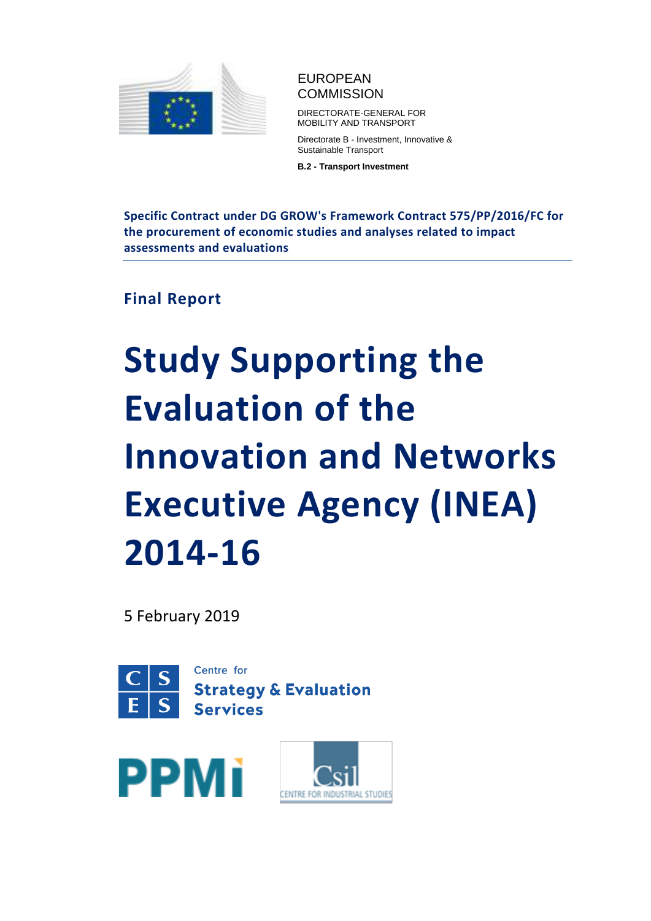

# EUROPEAN **COMMISSION**

DIRECTORATE-GENERAL FOR MOBILITY AND TRANSPORT

Directorate B - Investment, Innovative & Sustainable Transport

**B.2 - Transport Investment**

**Specific Contract under DG GROW's Framework Contract 575/PP/2016/FC for the procurement of economic studies and analyses related to impact assessments and evaluations**

**Final Report**

# **Study Supporting the Evaluation of the Innovation and Networks Executive Agency (INEA) 2014-16**

5 February 2019





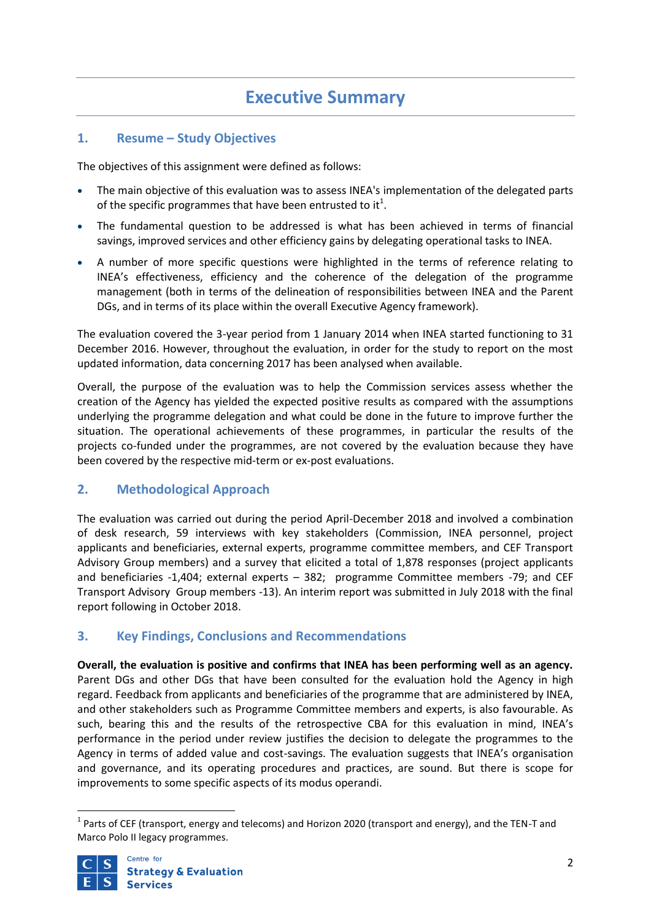# **Executive Summary**

# **1. Resume – Study Objectives**

The objectives of this assignment were defined as follows:

- The main objective of this evaluation was to assess INEA's implementation of the delegated parts of the specific programmes that have been entrusted to it<sup>1</sup>.
- The fundamental question to be addressed is what has been achieved in terms of financial savings, improved services and other efficiency gains by delegating operational tasks to INEA.
- A number of more specific questions were highlighted in the terms of reference relating to INEA's effectiveness, efficiency and the coherence of the delegation of the programme management (both in terms of the delineation of responsibilities between INEA and the Parent DGs, and in terms of its place within the overall Executive Agency framework).

The evaluation covered the 3-year period from 1 January 2014 when INEA started functioning to 31 December 2016. However, throughout the evaluation, in order for the study to report on the most updated information, data concerning 2017 has been analysed when available.

Overall, the purpose of the evaluation was to help the Commission services assess whether the creation of the Agency has yielded the expected positive results as compared with the assumptions underlying the programme delegation and what could be done in the future to improve further the situation. The operational achievements of these programmes, in particular the results of the projects co-funded under the programmes, are not covered by the evaluation because they have been covered by the respective mid-term or ex-post evaluations.

## **2. Methodological Approach**

The evaluation was carried out during the period April-December 2018 and involved a combination of desk research, 59 interviews with key stakeholders (Commission, INEA personnel, project applicants and beneficiaries, external experts, programme committee members, and CEF Transport Advisory Group members) and a survey that elicited a total of 1,878 responses (project applicants and beneficiaries -1,404; external experts – 382; programme Committee members -79; and CEF Transport Advisory Group members -13). An interim report was submitted in July 2018 with the final report following in October 2018.

## **3. Key Findings, Conclusions and Recommendations**

**Overall, the evaluation is positive and confirms that INEA has been performing well as an agency.** Parent DGs and other DGs that have been consulted for the evaluation hold the Agency in high regard. Feedback from applicants and beneficiaries of the programme that are administered by INEA, and other stakeholders such as Programme Committee members and experts, is also favourable. As such, bearing this and the results of the retrospective CBA for this evaluation in mind, INEA's performance in the period under review justifies the decision to delegate the programmes to the Agency in terms of added value and cost-savings. The evaluation suggests that INEA's organisation and governance, and its operating procedures and practices, are sound. But there is scope for improvements to some specific aspects of its modus operandi.

 $^1$  Parts of CEF (transport, energy and telecoms) and Horizon 2020 (transport and energy), and the TEN-T and Marco Polo II legacy programmes.



1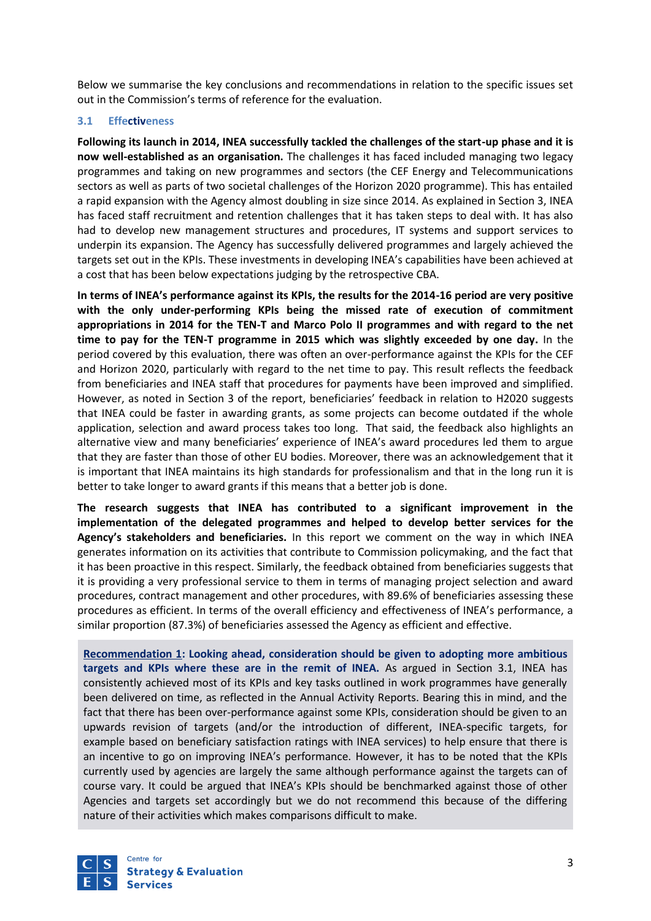Below we summarise the key conclusions and recommendations in relation to the specific issues set out in the Commission's terms of reference for the evaluation.

#### **3.1 Effectiveness**

**Following its launch in 2014, INEA successfully tackled the challenges of the start-up phase and it is now well-established as an organisation.** The challenges it has faced included managing two legacy programmes and taking on new programmes and sectors (the CEF Energy and Telecommunications sectors as well as parts of two societal challenges of the Horizon 2020 programme). This has entailed a rapid expansion with the Agency almost doubling in size since 2014. As explained in Section 3, INEA has faced staff recruitment and retention challenges that it has taken steps to deal with. It has also had to develop new management structures and procedures, IT systems and support services to underpin its expansion. The Agency has successfully delivered programmes and largely achieved the targets set out in the KPIs. These investments in developing INEA's capabilities have been achieved at a cost that has been below expectations judging by the retrospective CBA.

**In terms of INEA's performance against its KPIs, the results for the 2014-16 period are very positive with the only under-performing KPIs being the missed rate of execution of commitment appropriations in 2014 for the TEN-T and Marco Polo II programmes and with regard to the net time to pay for the TEN-T programme in 2015 which was slightly exceeded by one day.** In the period covered by this evaluation, there was often an over-performance against the KPIs for the CEF and Horizon 2020, particularly with regard to the net time to pay. This result reflects the feedback from beneficiaries and INEA staff that procedures for payments have been improved and simplified. However, as noted in Section 3 of the report, beneficiaries' feedback in relation to H2020 suggests that INEA could be faster in awarding grants, as some projects can become outdated if the whole application, selection and award process takes too long. That said, the feedback also highlights an alternative view and many beneficiaries' experience of INEA's award procedures led them to argue that they are faster than those of other EU bodies. Moreover, there was an acknowledgement that it is important that INEA maintains its high standards for professionalism and that in the long run it is better to take longer to award grants if this means that a better job is done.

**The research suggests that INEA has contributed to a significant improvement in the implementation of the delegated programmes and helped to develop better services for the Agency's stakeholders and beneficiaries.** In this report we comment on the way in which INEA generates information on its activities that contribute to Commission policymaking, and the fact that it has been proactive in this respect. Similarly, the feedback obtained from beneficiaries suggests that it is providing a very professional service to them in terms of managing project selection and award procedures, contract management and other procedures, with 89.6% of beneficiaries assessing these procedures as efficient. In terms of the overall efficiency and effectiveness of INEA's performance, a similar proportion (87.3%) of beneficiaries assessed the Agency as efficient and effective.

**Recommendation 1: Looking ahead, consideration should be given to adopting more ambitious targets and KPIs where these are in the remit of INEA.** As argued in Section 3.1, INEA has consistently achieved most of its KPIs and key tasks outlined in work programmes have generally been delivered on time, as reflected in the Annual Activity Reports. Bearing this in mind, and the fact that there has been over-performance against some KPIs, consideration should be given to an upwards revision of targets (and/or the introduction of different, INEA-specific targets, for example based on beneficiary satisfaction ratings with INEA services) to help ensure that there is an incentive to go on improving INEA's performance. However, it has to be noted that the KPIs currently used by agencies are largely the same although performance against the targets can of course vary. It could be argued that INEA's KPIs should be benchmarked against those of other Agencies and targets set accordingly but we do not recommend this because of the differing nature of their activities which makes comparisons difficult to make.

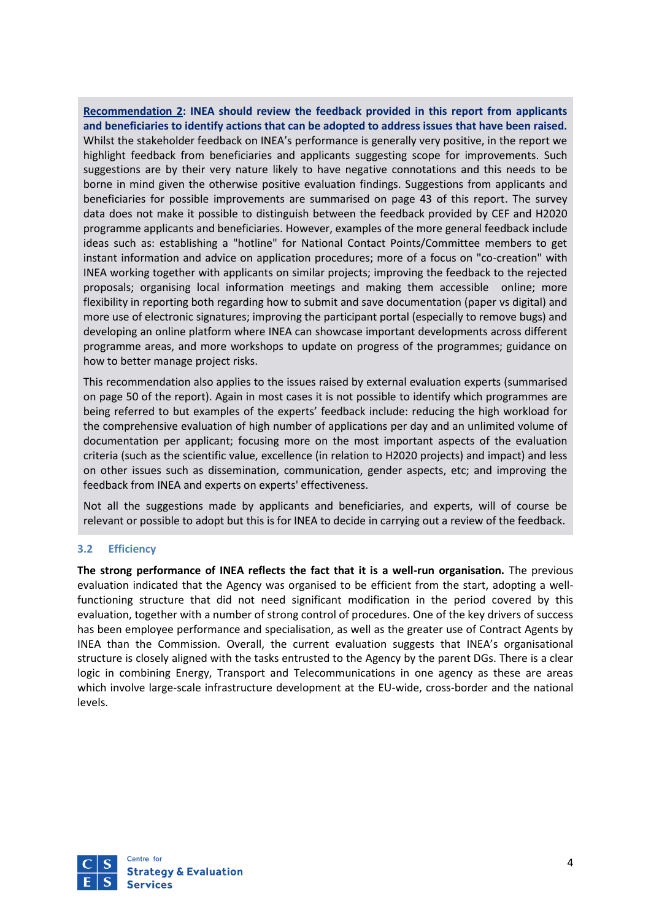**Recommendation 2: INEA should review the feedback provided in this report from applicants and beneficiaries to identify actions that can be adopted to address issues that have been raised.**  Whilst the stakeholder feedback on INEA's performance is generally very positive, in the report we highlight feedback from beneficiaries and applicants suggesting scope for improvements. Such suggestions are by their very nature likely to have negative connotations and this needs to be borne in mind given the otherwise positive evaluation findings. Suggestions from applicants and beneficiaries for possible improvements are summarised on page 43 of this report. The survey data does not make it possible to distinguish between the feedback provided by CEF and H2020 programme applicants and beneficiaries. However, examples of the more general feedback include ideas such as: establishing a "hotline" for National Contact Points/Committee members to get instant information and advice on application procedures; more of a focus on "co-creation" with INEA working together with applicants on similar projects; improving the feedback to the rejected proposals; organising local information meetings and making them accessible online; more flexibility in reporting both regarding how to submit and save documentation (paper vs digital) and more use of electronic signatures; improving the participant portal (especially to remove bugs) and developing an online platform where INEA can showcase important developments across different programme areas, and more workshops to update on progress of the programmes; guidance on how to better manage project risks.

This recommendation also applies to the issues raised by external evaluation experts (summarised on page 50 of the report). Again in most cases it is not possible to identify which programmes are being referred to but examples of the experts' feedback include: reducing the high workload for the comprehensive evaluation of high number of applications per day and an unlimited volume of documentation per applicant; focusing more on the most important aspects of the evaluation criteria (such as the scientific value, excellence (in relation to H2020 projects) and impact) and less on other issues such as dissemination, communication, gender aspects, etc; and improving the feedback from INEA and experts on experts' effectiveness.

Not all the suggestions made by applicants and beneficiaries, and experts, will of course be relevant or possible to adopt but this is for INEA to decide in carrying out a review of the feedback.

#### **3.2 Efficiency**

**The strong performance of INEA reflects the fact that it is a well-run organisation.** The previous evaluation indicated that the Agency was organised to be efficient from the start, adopting a wellfunctioning structure that did not need significant modification in the period covered by this evaluation, together with a number of strong control of procedures. One of the key drivers of success has been employee performance and specialisation, as well as the greater use of Contract Agents by INEA than the Commission. Overall, the current evaluation suggests that INEA's organisational structure is closely aligned with the tasks entrusted to the Agency by the parent DGs. There is a clear logic in combining Energy, Transport and Telecommunications in one agency as these are areas which involve large-scale infrastructure development at the EU-wide, cross-border and the national levels.

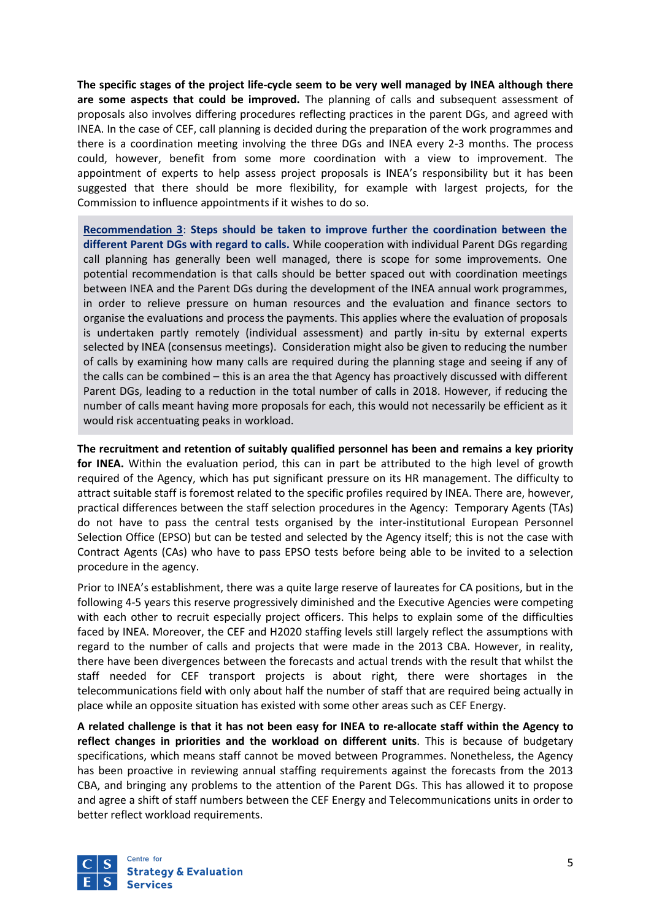**The specific stages of the project life-cycle seem to be very well managed by INEA although there are some aspects that could be improved.** The planning of calls and subsequent assessment of proposals also involves differing procedures reflecting practices in the parent DGs, and agreed with INEA. In the case of CEF, call planning is decided during the preparation of the work programmes and there is a coordination meeting involving the three DGs and INEA every 2-3 months. The process could, however, benefit from some more coordination with a view to improvement. The appointment of experts to help assess project proposals is INEA's responsibility but it has been suggested that there should be more flexibility, for example with largest projects, for the Commission to influence appointments if it wishes to do so.

**Recommendation 3**: **Steps should be taken to improve further the coordination between the different Parent DGs with regard to calls.** While cooperation with individual Parent DGs regarding call planning has generally been well managed, there is scope for some improvements. One potential recommendation is that calls should be better spaced out with coordination meetings between INEA and the Parent DGs during the development of the INEA annual work programmes, in order to relieve pressure on human resources and the evaluation and finance sectors to organise the evaluations and process the payments. This applies where the evaluation of proposals is undertaken partly remotely (individual assessment) and partly in-situ by external experts selected by INEA (consensus meetings). Consideration might also be given to reducing the number of calls by examining how many calls are required during the planning stage and seeing if any of the calls can be combined – this is an area the that Agency has proactively discussed with different Parent DGs, leading to a reduction in the total number of calls in 2018. However, if reducing the number of calls meant having more proposals for each, this would not necessarily be efficient as it would risk accentuating peaks in workload.

**The recruitment and retention of suitably qualified personnel has been and remains a key priority for INEA.** Within the evaluation period, this can in part be attributed to the high level of growth required of the Agency, which has put significant pressure on its HR management. The difficulty to attract suitable staff is foremost related to the specific profiles required by INEA. There are, however, practical differences between the staff selection procedures in the Agency: Temporary Agents (TAs) do not have to pass the central tests organised by the inter-institutional European Personnel Selection Office (EPSO) but can be tested and selected by the Agency itself; this is not the case with Contract Agents (CAs) who have to pass EPSO tests before being able to be invited to a selection procedure in the agency.

Prior to INEA's establishment, there was a quite large reserve of laureates for CA positions, but in the following 4-5 years this reserve progressively diminished and the Executive Agencies were competing with each other to recruit especially project officers. This helps to explain some of the difficulties faced by INEA. Moreover, the CEF and H2020 staffing levels still largely reflect the assumptions with regard to the number of calls and projects that were made in the 2013 CBA. However, in reality, there have been divergences between the forecasts and actual trends with the result that whilst the staff needed for CEF transport projects is about right, there were shortages in the telecommunications field with only about half the number of staff that are required being actually in place while an opposite situation has existed with some other areas such as CEF Energy.

**A related challenge is that it has not been easy for INEA to re-allocate staff within the Agency to reflect changes in priorities and the workload on different units**. This is because of budgetary specifications, which means staff cannot be moved between Programmes. Nonetheless, the Agency has been proactive in reviewing annual staffing requirements against the forecasts from the 2013 CBA, and bringing any problems to the attention of the Parent DGs. This has allowed it to propose and agree a shift of staff numbers between the CEF Energy and Telecommunications units in order to better reflect workload requirements.

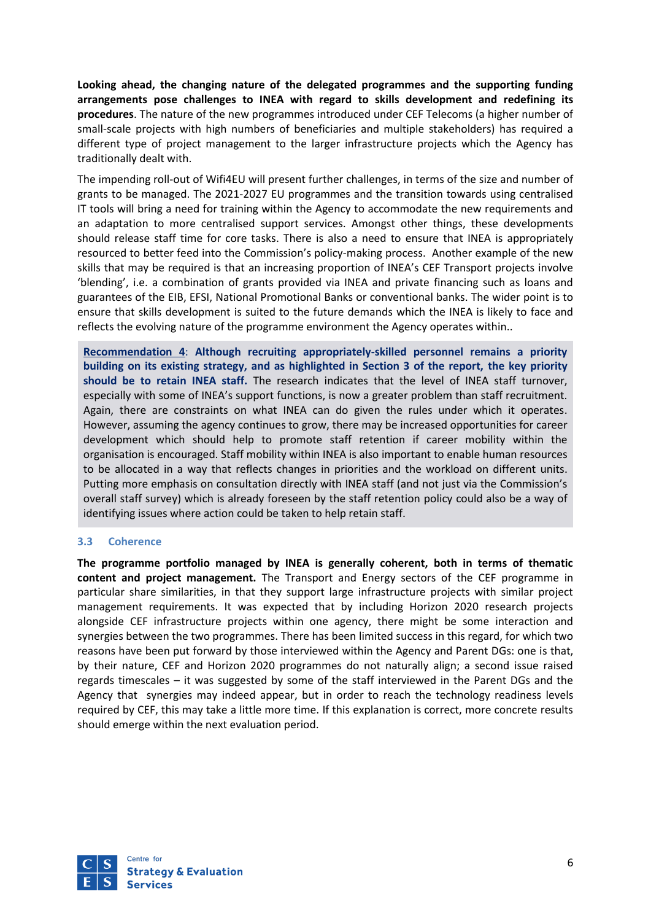**Looking ahead, the changing nature of the delegated programmes and the supporting funding arrangements pose challenges to INEA with regard to skills development and redefining its procedures**. The nature of the new programmes introduced under CEF Telecoms (a higher number of small-scale projects with high numbers of beneficiaries and multiple stakeholders) has required a different type of project management to the larger infrastructure projects which the Agency has traditionally dealt with.

The impending roll-out of Wifi4EU will present further challenges, in terms of the size and number of grants to be managed. The 2021-2027 EU programmes and the transition towards using centralised IT tools will bring a need for training within the Agency to accommodate the new requirements and an adaptation to more centralised support services. Amongst other things, these developments should release staff time for core tasks. There is also a need to ensure that INEA is appropriately resourced to better feed into the Commission's policy-making process. Another example of the new skills that may be required is that an increasing proportion of INEA's CEF Transport projects involve 'blending', i.e. a combination of grants provided via INEA and private financing such as loans and guarantees of the EIB, EFSI, National Promotional Banks or conventional banks. The wider point is to ensure that skills development is suited to the future demands which the INEA is likely to face and reflects the evolving nature of the programme environment the Agency operates within..

**Recommendation 4**: **Although recruiting appropriately-skilled personnel remains a priority building on its existing strategy, and as highlighted in Section 3 of the report, the key priority should be to retain INEA staff.** The research indicates that the level of INEA staff turnover, especially with some of INEA's support functions, is now a greater problem than staff recruitment. Again, there are constraints on what INEA can do given the rules under which it operates. However, assuming the agency continues to grow, there may be increased opportunities for career development which should help to promote staff retention if career mobility within the organisation is encouraged. Staff mobility within INEA is also important to enable human resources to be allocated in a way that reflects changes in priorities and the workload on different units. Putting more emphasis on consultation directly with INEA staff (and not just via the Commission's overall staff survey) which is already foreseen by the staff retention policy could also be a way of identifying issues where action could be taken to help retain staff.

#### **3.3 Coherence**

**The programme portfolio managed by INEA is generally coherent, both in terms of thematic content and project management.** The Transport and Energy sectors of the CEF programme in particular share similarities, in that they support large infrastructure projects with similar project management requirements. It was expected that by including Horizon 2020 research projects alongside CEF infrastructure projects within one agency, there might be some interaction and synergies between the two programmes. There has been limited success in this regard, for which two reasons have been put forward by those interviewed within the Agency and Parent DGs: one is that, by their nature, CEF and Horizon 2020 programmes do not naturally align; a second issue raised regards timescales – it was suggested by some of the staff interviewed in the Parent DGs and the Agency that synergies may indeed appear, but in order to reach the technology readiness levels required by CEF, this may take a little more time. If this explanation is correct, more concrete results should emerge within the next evaluation period.

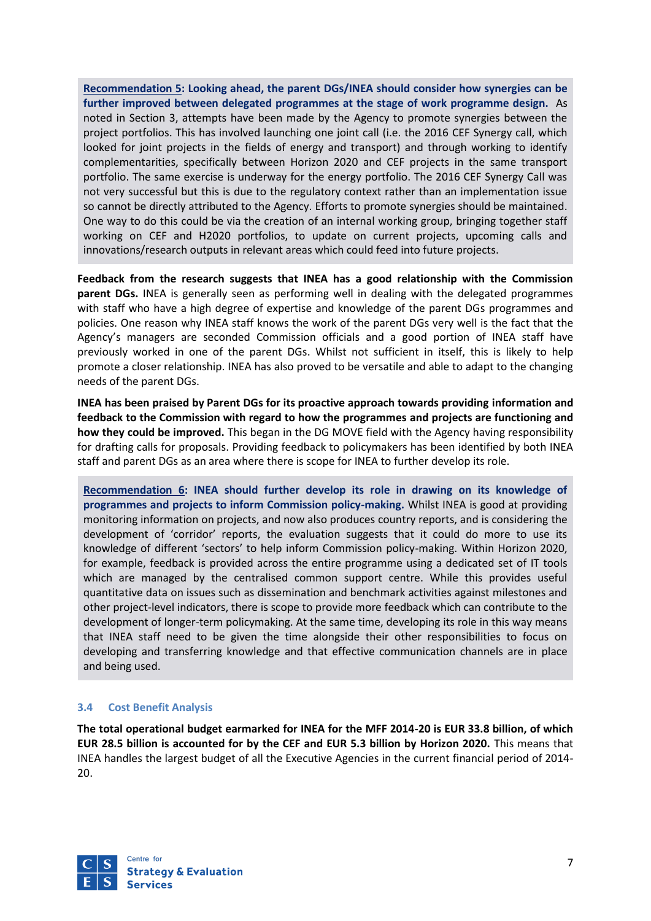**Recommendation 5: Looking ahead, the parent DGs/INEA should consider how synergies can be further improved between delegated programmes at the stage of work programme design.** As noted in Section 3, attempts have been made by the Agency to promote synergies between the project portfolios. This has involved launching one joint call (i.e. the 2016 CEF Synergy call, which looked for joint projects in the fields of energy and transport) and through working to identify complementarities, specifically between Horizon 2020 and CEF projects in the same transport portfolio. The same exercise is underway for the energy portfolio. The 2016 CEF Synergy Call was not very successful but this is due to the regulatory context rather than an implementation issue so cannot be directly attributed to the Agency. Efforts to promote synergies should be maintained. One way to do this could be via the creation of an internal working group, bringing together staff working on CEF and H2020 portfolios, to update on current projects, upcoming calls and innovations/research outputs in relevant areas which could feed into future projects.

**Feedback from the research suggests that INEA has a good relationship with the Commission parent DGs.** INEA is generally seen as performing well in dealing with the delegated programmes with staff who have a high degree of expertise and knowledge of the parent DGs programmes and policies. One reason why INEA staff knows the work of the parent DGs very well is the fact that the Agency's managers are seconded Commission officials and a good portion of INEA staff have previously worked in one of the parent DGs. Whilst not sufficient in itself, this is likely to help promote a closer relationship. INEA has also proved to be versatile and able to adapt to the changing needs of the parent DGs.

**INEA has been praised by Parent DGs for its proactive approach towards providing information and feedback to the Commission with regard to how the programmes and projects are functioning and how they could be improved.** This began in the DG MOVE field with the Agency having responsibility for drafting calls for proposals. Providing feedback to policymakers has been identified by both INEA staff and parent DGs as an area where there is scope for INEA to further develop its role.

**Recommendation 6: INEA should further develop its role in drawing on its knowledge of programmes and projects to inform Commission policy-making.** Whilst INEA is good at providing monitoring information on projects, and now also produces country reports, and is considering the development of 'corridor' reports, the evaluation suggests that it could do more to use its knowledge of different 'sectors' to help inform Commission policy-making. Within Horizon 2020, for example, feedback is provided across the entire programme using a dedicated set of IT tools which are managed by the centralised common support centre. While this provides useful quantitative data on issues such as dissemination and benchmark activities against milestones and other project-level indicators, there is scope to provide more feedback which can contribute to the development of longer-term policymaking. At the same time, developing its role in this way means that INEA staff need to be given the time alongside their other responsibilities to focus on developing and transferring knowledge and that effective communication channels are in place and being used.

#### **3.4 Cost Benefit Analysis**

**The total operational budget earmarked for INEA for the MFF 2014-20 is EUR 33.8 billion, of which EUR 28.5 billion is accounted for by the CEF and EUR 5.3 billion by Horizon 2020.** This means that INEA handles the largest budget of all the Executive Agencies in the current financial period of 2014- 20.